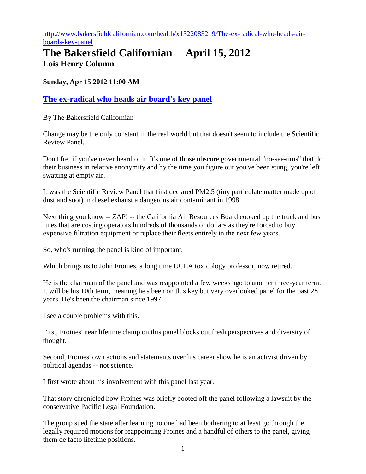[http://www.bakersfieldcalifornian.com/health/x1322083219/The-ex-radical-who-heads-air](http://www.bakersfieldcalifornian.com/health/x1322083219/The-ex-radical-who-heads-air-boards-key-panel)[boards-key-panel](http://www.bakersfieldcalifornian.com/health/x1322083219/The-ex-radical-who-heads-air-boards-key-panel)

## **The Bakersfield Californian April 15, 2012 Lois Henry Column**

**Sunday, Apr 15 2012 11:00 AM**

## **[The ex-radical who heads air board's key panel](http://www.bakersfieldcalifornian.com/health/x1322083219/The-ex-radical-who-heads-air-boards-key-panel)**

By The Bakersfield Californian

Change may be the only constant in the real world but that doesn't seem to include the Scientific Review Panel.

Don't fret if you've never heard of it. It's one of those obscure governmental "no-see-ums" that do their business in relative anonymity and by the time you figure out you've been stung, you're left swatting at empty air.

It was the Scientific Review Panel that first declared PM2.5 (tiny particulate matter made up of dust and soot) in diesel exhaust a dangerous air contaminant in 1998.

Next thing you know -- ZAP! -- the California Air Resources Board cooked up the truck and bus rules that are costing operators hundreds of thousands of dollars as they're forced to buy expensive filtration equipment or replace their fleets entirely in the next few years.

So, who's running the panel is kind of important.

Which brings us to John Froines, a long time UCLA toxicology professor, now retired.

He is the chairman of the panel and was reappointed a few weeks ago to another three-year term. It will be his 10th term, meaning he's been on this key but very overlooked panel for the past 28 years. He's been the chairman since 1997.

I see a couple problems with this.

First, Froines' near lifetime clamp on this panel blocks out fresh perspectives and diversity of thought.

Second, Froines' own actions and statements over his career show he is an activist driven by political agendas -- not science.

I first wrote about his involvement with this panel last year.

That story chronicled how Froines was briefly booted off the panel following a lawsuit by the conservative Pacific Legal Foundation.

The group sued the state after learning no one had been bothering to at least go through the legally required motions for reappointing Froines and a handful of others to the panel, giving them de facto lifetime positions.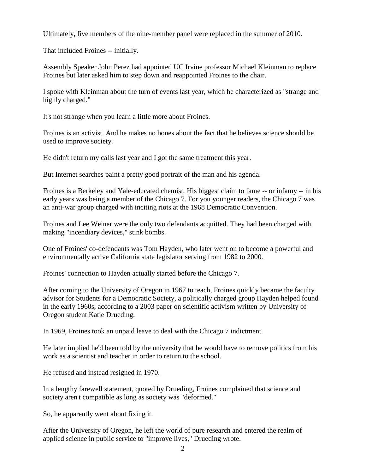Ultimately, five members of the nine-member panel were replaced in the summer of 2010.

That included Froines -- initially.

Assembly Speaker John Perez had appointed UC Irvine professor Michael Kleinman to replace Froines but later asked him to step down and reappointed Froines to the chair.

I spoke with Kleinman about the turn of events last year, which he characterized as "strange and highly charged."

It's not strange when you learn a little more about Froines.

Froines is an activist. And he makes no bones about the fact that he believes science should be used to improve society.

He didn't return my calls last year and I got the same treatment this year.

But Internet searches paint a pretty good portrait of the man and his agenda.

Froines is a Berkeley and Yale-educated chemist. His biggest claim to fame -- or infamy -- in his early years was being a member of the Chicago 7. For you younger readers, the Chicago 7 was an anti-war group charged with inciting riots at the 1968 Democratic Convention.

Froines and Lee Weiner were the only two defendants acquitted. They had been charged with making "incendiary devices," stink bombs.

One of Froines' co-defendants was Tom Hayden, who later went on to become a powerful and environmentally active California state legislator serving from 1982 to 2000.

Froines' connection to Hayden actually started before the Chicago 7.

After coming to the University of Oregon in 1967 to teach, Froines quickly became the faculty advisor for Students for a Democratic Society, a politically charged group Hayden helped found in the early 1960s, according to a 2003 paper on scientific activism written by University of Oregon student Katie Drueding.

In 1969, Froines took an unpaid leave to deal with the Chicago 7 indictment.

He later implied he'd been told by the university that he would have to remove politics from his work as a scientist and teacher in order to return to the school.

He refused and instead resigned in 1970.

In a lengthy farewell statement, quoted by Drueding, Froines complained that science and society aren't compatible as long as society was "deformed."

So, he apparently went about fixing it.

After the University of Oregon, he left the world of pure research and entered the realm of applied science in public service to "improve lives," Drueding wrote.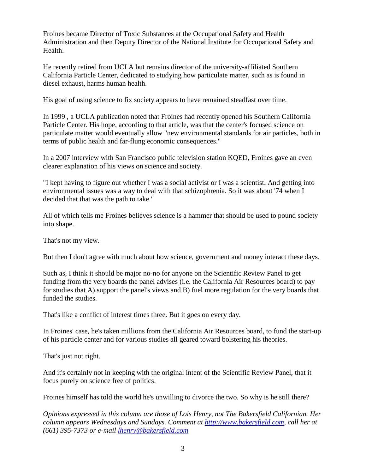Froines became Director of Toxic Substances at the Occupational Safety and Health Administration and then Deputy Director of the National Institute for Occupational Safety and Health.

He recently retired from UCLA but remains director of the university-affiliated Southern California Particle Center, dedicated to studying how particulate matter, such as is found in diesel exhaust, harms human health.

His goal of using science to fix society appears to have remained steadfast over time.

In 1999 , a UCLA publication noted that Froines had recently opened his Southern California Particle Center. His hope, according to that article, was that the center's focused science on particulate matter would eventually allow "new environmental standards for air particles, both in terms of public health and far-flung economic consequences."

In a 2007 interview with San Francisco public television station KQED, Froines gave an even clearer explanation of his views on science and society.

"I kept having to figure out whether I was a social activist or I was a scientist. And getting into environmental issues was a way to deal with that schizophrenia. So it was about '74 when I decided that that was the path to take."

All of which tells me Froines believes science is a hammer that should be used to pound society into shape.

That's not my view.

But then I don't agree with much about how science, government and money interact these days.

Such as, I think it should be major no-no for anyone on the Scientific Review Panel to get funding from the very boards the panel advises (i.e. the California Air Resources board) to pay for studies that A) support the panel's views and B) fuel more regulation for the very boards that funded the studies.

That's like a conflict of interest times three. But it goes on every day.

In Froines' case, he's taken millions from the California Air Resources board, to fund the start-up of his particle center and for various studies all geared toward bolstering his theories.

That's just not right.

And it's certainly not in keeping with the original intent of the Scientific Review Panel, that it focus purely on science free of politics.

Froines himself has told the world he's unwilling to divorce the two. So why is he still there?

*Opinions expressed in this column are those of Lois Henry, not The Bakersfield Californian. Her column appears Wednesdays and Sundays. Comment at [http://www.bakersfield.com,](http://www.bakersfield.com/) call her at (661) 395-7373 or e-mail [lhenry@bakersfield.com](mailto:lhenry@bakersfield.com)*